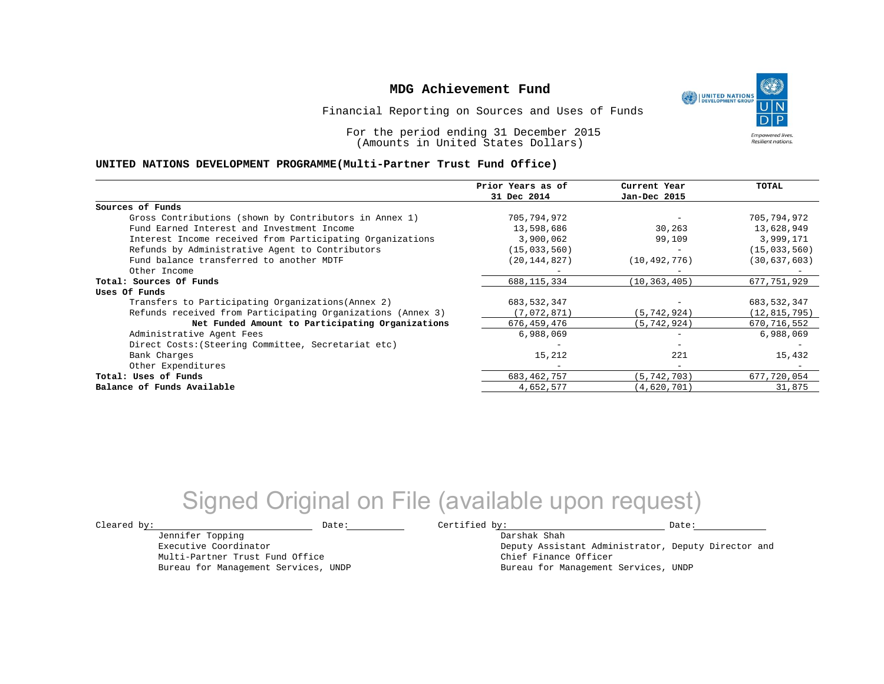UNITED NATIONS **Empowered lives Resilient nations.** 

Financial Reporting on Sources and Uses of Funds

For the period ending 31 December 2015 (Amounts in United States Dollars)

#### **UNITED NATIONS DEVELOPMENT PROGRAMME(Multi-Partner Trust Fund Office)**

|                                                             | Prior Years as of | Current Year             | TOTAL          |
|-------------------------------------------------------------|-------------------|--------------------------|----------------|
|                                                             | 31 Dec 2014       | Jan-Dec 2015             |                |
| Sources of Funds                                            |                   |                          |                |
| Gross Contributions (shown by Contributors in Annex 1)      | 705,794,972       |                          | 705,794,972    |
| Fund Earned Interest and Investment Income                  | 13,598,686        | 30,263                   | 13,628,949     |
| Interest Income received from Participating Organizations   | 3,900,062         | 99,109                   | 3,999,171      |
| Refunds by Administrative Agent to Contributors             | (15, 033, 560)    |                          | (15, 033, 560) |
| Fund balance transferred to another MDTF                    | (20, 144, 827)    | (10, 492, 776)           | (30, 637, 603) |
| Other Income                                                |                   |                          |                |
| Total: Sources Of Funds                                     | 688, 115, 334     | (10, 363, 405)           | 677,751,929    |
| Uses Of Funds                                               |                   |                          |                |
| Transfers to Participating Organizations (Annex 2)          | 683,532,347       |                          | 683,532,347    |
| Refunds received from Participating Organizations (Annex 3) | (7,072,871)       | (5, 742, 924)            | (12, 815, 795) |
| Net Funded Amount to Participating Organizations            | 676,459,476       | (5, 742, 924)            | 670,716,552    |
| Administrative Agent Fees                                   | 6,988,069         |                          | 6,988,069      |
| Direct Costs: (Steering Committee, Secretariat etc)         |                   |                          |                |
| Bank Charges                                                | 15,212            | 221                      | 15,432         |
| Other Expenditures                                          | -                 | $\overline{\phantom{0}}$ |                |
| Total: Uses of Funds                                        | 683, 462, 757     | (5, 742, 703)            | 677,720,054    |
| Balance of Funds Available                                  | 4,652,577         | (4,620,701)              | 31,875         |

# Signed Original on File (available upon request)

Jennifer Topping Executive Coordinator

Multi-Partner Trust Fund Office Bureau for Management Services, UNDP

 $\texttt{Cleared by:}\footnotesize \begin{minipage}{0.9\linewidth} \texttt{Date:}\footnotesize \begin{minipage}{0.9\linewidth} \texttt{Date:}\footnotesize \begin{minipage}{0.9\linewidth} \end{minipage} \end{minipage}$ 

Darshak Shah Deputy Assistant Administrator, Deputy Director and Chief Finance Officer Bureau for Management Services, UNDP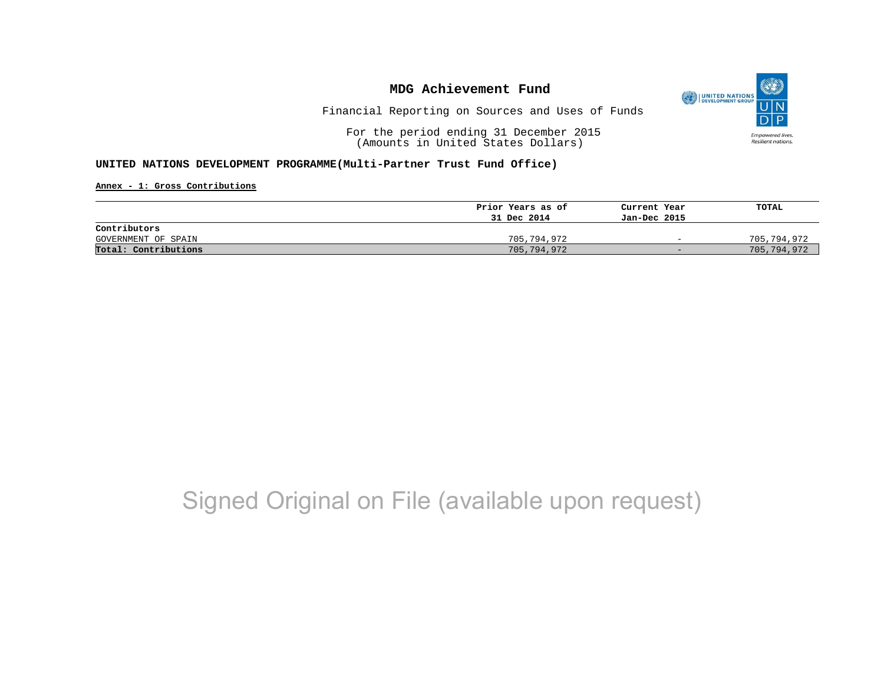

Financial Reporting on Sources and Uses of Funds

For the period ending 31 December 2015 (Amounts in United States Dollars)

### **UNITED NATIONS DEVELOPMENT PROGRAMME(Multi-Partner Trust Fund Office)**

**Annex - 1: Gross Contributions**

|                      | Prior Years as of | Current Year             | TOTAL       |
|----------------------|-------------------|--------------------------|-------------|
|                      | 31 Dec 2014       | Jan-Dec 2015             |             |
| Contributors         |                   |                          |             |
| GOVERNMENT OF SPAIN  | 705,794,972       | $\overline{\phantom{0}}$ | 705,794,972 |
| Total: Contributions | 705,794,972       | $-$                      | 705,794,972 |

# Signed Original on File (available upon request)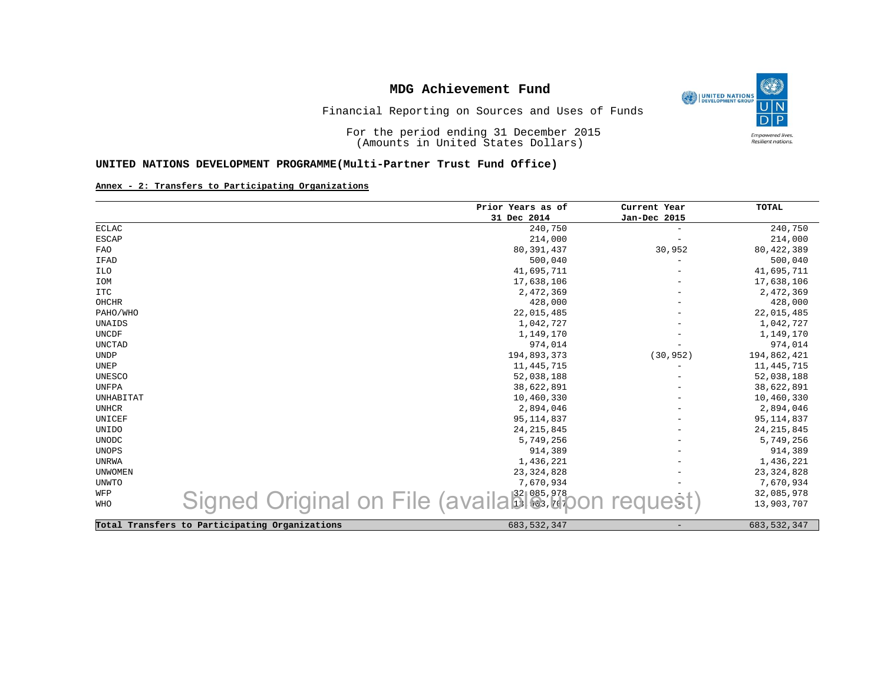

Financial Reporting on Sources and Uses of Funds

For the period ending 31 December 2015 (Amounts in United States Dollars)

### **UNITED NATIONS DEVELOPMENT PROGRAMME(Multi-Partner Trust Fund Office)**

#### **Annex - 2: Transfers to Participating Organizations**

|               |                                                | Prior Years as of                         | Current Year             | <b>TOTAL</b>  |
|---------------|------------------------------------------------|-------------------------------------------|--------------------------|---------------|
|               |                                                | 31 Dec 2014                               | Jan-Dec 2015             |               |
| <b>ECLAC</b>  |                                                | 240,750                                   |                          | 240,750       |
| <b>ESCAP</b>  |                                                | 214,000                                   |                          | 214,000       |
| FAO           |                                                | 80, 391, 437                              | 30,952                   | 80, 422, 389  |
| IFAD          |                                                | 500,040                                   | $\overline{\phantom{0}}$ | 500,040       |
| ILO           |                                                | 41,695,711                                |                          | 41,695,711    |
| IOM           |                                                | 17,638,106                                |                          | 17,638,106    |
| ITC           |                                                | 2,472,369                                 |                          | 2,472,369     |
| OHCHR         |                                                | 428,000                                   |                          | 428,000       |
| PAHO/WHO      |                                                | 22,015,485                                |                          | 22,015,485    |
| UNAIDS        |                                                | 1,042,727                                 |                          | 1,042,727     |
| <b>UNCDF</b>  |                                                | 1,149,170                                 |                          | 1,149,170     |
| <b>UNCTAD</b> |                                                | 974,014                                   |                          | 974,014       |
| <b>UNDP</b>   |                                                | 194,893,373                               | (30, 952)                | 194,862,421   |
| UNEP          |                                                | 11,445,715                                |                          | 11,445,715    |
| <b>UNESCO</b> |                                                | 52,038,188                                |                          | 52,038,188    |
| UNFPA         |                                                | 38,622,891                                |                          | 38,622,891    |
| UNHABITAT     |                                                | 10,460,330                                |                          | 10,460,330    |
| <b>UNHCR</b>  |                                                | 2,894,046                                 |                          | 2,894,046     |
| UNICEF        |                                                | 95, 114, 837                              |                          | 95, 114, 837  |
| UNIDO         |                                                | 24, 215, 845                              |                          | 24, 215, 845  |
| <b>UNODC</b>  |                                                | 5,749,256                                 |                          | 5,749,256     |
| UNOPS         |                                                | 914,389                                   |                          | 914,389       |
| <b>UNRWA</b>  |                                                | 1,436,221                                 |                          | 1,436,221     |
| UNWOMEN       |                                                | 23, 324, 828                              |                          | 23, 324, 828  |
| UNWTO         |                                                | 7,670,934                                 |                          | 7,670,934     |
| WFP           |                                                |                                           |                          | 32,085,978    |
| <b>WHO</b>    |                                                | Signed Original on File (availables, etc. |                          | 13,903,707    |
|               |                                                |                                           |                          |               |
|               | Total Transfers to Participating Organizations | 683, 532, 347                             |                          | 683, 532, 347 |